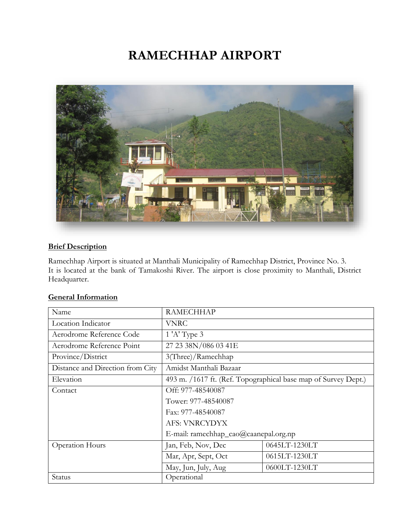# **RAMECHHAP AIRPORT**



#### **Brief Description**

Ramechhap Airport is situated at Manthali Municipality of Ramechhap District, Province No. 3. It is located at the bank of Tamakoshi River. The airport is close proximity to Manthali, District Headquarter.

| Name                             | <b>RAMECHHAP</b>                                               |               |  |
|----------------------------------|----------------------------------------------------------------|---------------|--|
| Location Indicator               | <b>VNRC</b>                                                    |               |  |
| Aerodrome Reference Code         | $1'$ A' Type 3                                                 |               |  |
| Aerodrome Reference Point        | 27 23 38N/086 03 41E                                           |               |  |
| Province/District                | 3(Three)/Ramechhap                                             |               |  |
| Distance and Direction from City | Amidst Manthali Bazaar                                         |               |  |
| Elevation                        | 493 m. /1617 ft. (Ref. Topographical base map of Survey Dept.) |               |  |
| Contact                          | Off: 977-48540087                                              |               |  |
|                                  | Tower: 977-48540087                                            |               |  |
|                                  | Fax: 977-48540087                                              |               |  |
|                                  | <b>AFS: VNRCYDYX</b>                                           |               |  |
|                                  | E-mail: ramechhap_cao@caanepal.org.np                          |               |  |
| <b>Operation Hours</b>           | Jan, Feb, Nov, Dec                                             | 0645LT-1230LT |  |
|                                  | Mar, Apr, Sept, Oct                                            | 0615LT-1230LT |  |
|                                  | May, Jun, July, Aug                                            | 0600LT-1230LT |  |
| Status                           | Operational                                                    |               |  |

## **General Information**